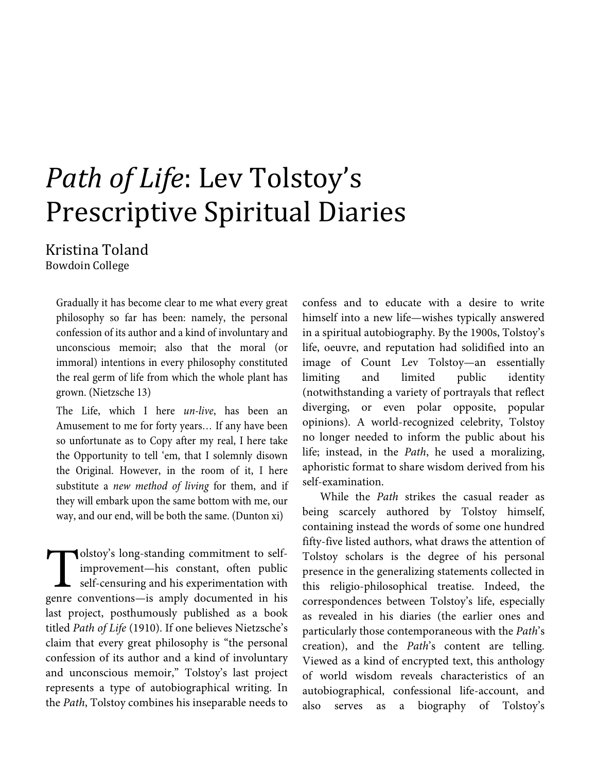# *Path of Life*: Lev Tolstoy's Prescriptive Spiritual Diaries

Kristina Toland Bowdoin College

Gradually it has become clear to me what every great philosophy so far has been: namely, the personal confession of its author and a kind of involuntary and unconscious memoir; also that the moral (or immoral) intentions in every philosophy constituted the real germ of life from which the whole plant has grown. (Nietzsche 13)

The Life, which I here *un-live*, has been an Amusement to me for forty years*…* If any have been so unfortunate as to Copy after my real, I here take the Opportunity to tell 'em, that I solemnly disown the Original. However, in the room of it, I here substitute a *new method of living* for them, and if they will embark upon the same bottom with me, our way, and our end, will be both the same. (Dunton xi)

olstoy's long-standing commitment to selfimprovement—his constant, often public self-censuring and his experimentation with olstoy's long-standing commitment to self-<br>improvement—his constant, often public<br>self-censuring and his experimentation with<br>genre conventions—is amply documented in his last project, posthumously published as a book titled *Path of Life* (1910). If one believes Nietzsche's claim that every great philosophy is "the personal confession of its author and a kind of involuntary and unconscious memoir," Tolstoy's last project represents a type of autobiographical writing. In the *Path*, Tolstoy combines his inseparable needs to

confess and to educate with a desire to write himself into a new life—wishes typically answered in a spiritual autobiography. By the 1900s, Tolstoy's life, oeuvre, and reputation had solidified into an image of Count Lev Tolstoy—an essentially limiting and limited public identity (notwithstanding a variety of portrayals that reflect diverging, or even polar opposite, popular opinions). A world-recognized celebrity, Tolstoy no longer needed to inform the public about his life; instead, in the *Path*, he used a moralizing, aphoristic format to share wisdom derived from his self-examination.

While the *Path* strikes the casual reader as being scarcely authored by Tolstoy himself, containing instead the words of some one hundred fifty-five listed authors, what draws the attention of Tolstoy scholars is the degree of his personal presence in the generalizing statements collected in this religio-philosophical treatise. Indeed, the correspondences between Tolstoy's life, especially as revealed in his diaries (the earlier ones and particularly those contemporaneous with the *Path*'s creation), and the *Path*'s content are telling. Viewed as a kind of encrypted text, this anthology of world wisdom reveals characteristics of an autobiographical, confessional life-account, and also serves as a biography of Tolstoy's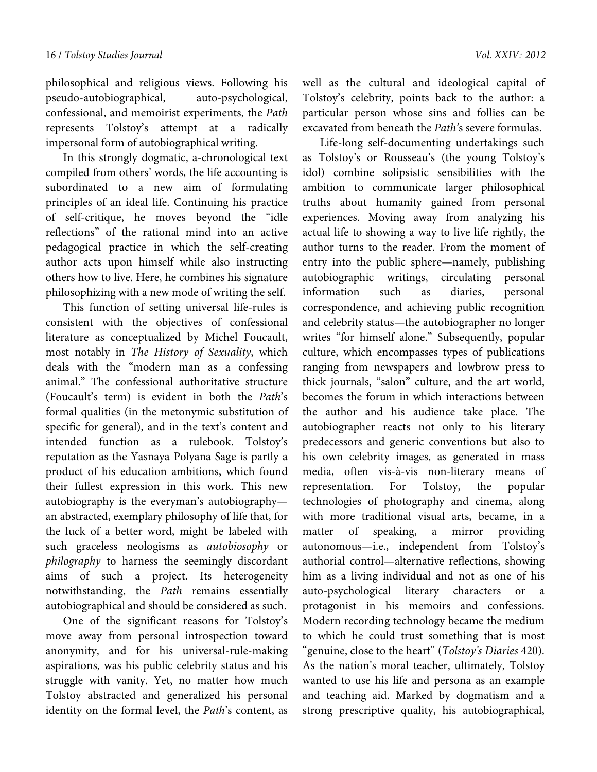philosophical and religious views. Following his pseudo-autobiographical, auto-psychological, confessional, and memoirist experiments, the *Path* represents Tolstoy's attempt at a radically impersonal form of autobiographical writing.

In this strongly dogmatic, a-chronological text compiled from others' words, the life accounting is subordinated to a new aim of formulating principles of an ideal life. Continuing his practice of self-critique, he moves beyond the "idle reflections" of the rational mind into an active pedagogical practice in which the self-creating author acts upon himself while also instructing others how to live. Here, he combines his signature philosophizing with a new mode of writing the self.

This function of setting universal life-rules is consistent with the objectives of confessional literature as conceptualized by Michel Foucault, most notably in *The History of Sexuality*, which deals with the "modern man as a confessing animal." The confessional authoritative structure (Foucault's term) is evident in both the *Path*'s formal qualities (in the metonymic substitution of specific for general), and in the text's content and intended function as a rulebook. Tolstoy's reputation as the Yasnaya Polyana Sage is partly a product of his education ambitions, which found their fullest expression in this work. This new autobiography is the everyman's autobiography an abstracted, exemplary philosophy of life that, for the luck of a better word, might be labeled with such graceless neologisms as *autobiosophy* or *philography* to harness the seemingly discordant aims of such a project. Its heterogeneity notwithstanding, the *Path* remains essentially autobiographical and should be considered as such.

One of the significant reasons for Tolstoy's move away from personal introspection toward anonymity, and for his universal-rule-making aspirations, was his public celebrity status and his struggle with vanity. Yet, no matter how much Tolstoy abstracted and generalized his personal identity on the formal level, the *Path*'s content, as well as the cultural and ideological capital of Tolstoy's celebrity, points back to the author: a particular person whose sins and follies can be excavated from beneath the *Path'*s severe formulas.

Life-long self-documenting undertakings such as Tolstoy's or Rousseau's (the young Tolstoy's idol) combine solipsistic sensibilities with the ambition to communicate larger philosophical truths about humanity gained from personal experiences. Moving away from analyzing his actual life to showing a way to live life rightly, the author turns to the reader. From the moment of entry into the public sphere—namely, publishing autobiographic writings, circulating personal information such as diaries, personal correspondence, and achieving public recognition and celebrity status—the autobiographer no longer writes "for himself alone." Subsequently, popular culture, which encompasses types of publications ranging from newspapers and lowbrow press to thick journals, "salon" culture, and the art world, becomes the forum in which interactions between the author and his audience take place. The autobiographer reacts not only to his literary predecessors and generic conventions but also to his own celebrity images, as generated in mass media, often vis-à-vis non-literary means of representation. For Tolstoy, the popular technologies of photography and cinema, along with more traditional visual arts, became, in a matter of speaking, a mirror providing autonomous—i.e., independent from Tolstoy's authorial control—alternative reflections, showing him as a living individual and not as one of his auto-psychological literary characters or protagonist in his memoirs and confessions. Modern recording technology became the medium to which he could trust something that is most "genuine, close to the heart" (*Tolstoy's Diaries* 420). As the nation's moral teacher, ultimately, Tolstoy wanted to use his life and persona as an example and teaching aid. Marked by dogmatism and a strong prescriptive quality, his autobiographical,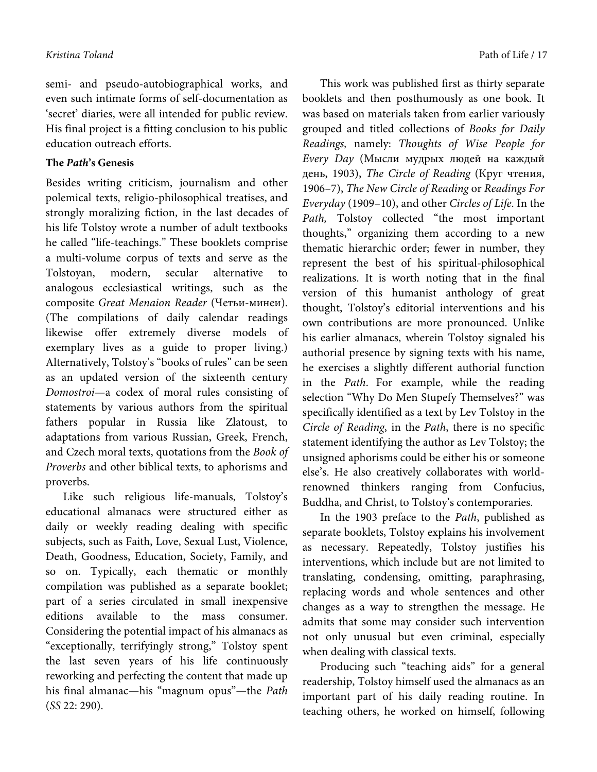semi- and pseudo-autobiographical works, and even such intimate forms of self-documentation as 'secret' diaries, were all intended for public review. His final project is a fitting conclusion to his public education outreach efforts.

### **The** *Path***'s Genesis**

Besides writing criticism, journalism and other polemical texts, religio-philosophical treatises, and strongly moralizing fiction, in the last decades of his life Tolstoy wrote a number of adult textbooks he called "life-teachings." These booklets comprise a multi-volume corpus of texts and serve as the Tolstoyan, modern, secular alternative to analogous ecclesiastical writings, such as the composite *Great Menaion Reader* (Четьи-минеи). (The compilations of daily calendar readings likewise offer extremely diverse models of exemplary lives as a guide to proper living.) Alternatively, Tolstoy's "books of rules" can be seen as an updated version of the sixteenth century *Domostroi*—a codex of moral rules consisting of statements by various authors from the spiritual fathers popular in Russia like Zlatoust, to adaptations from various Russian, Greek, French, and Czech moral texts, quotations from the *Book of Proverbs* and other biblical texts, to aphorisms and proverbs.

Like such religious life-manuals, Tolstoy's educational almanacs were structured either as daily or weekly reading dealing with specific subjects, such as Faith, Love, Sexual Lust, Violence, Death, Goodness, Education, Society, Family, and so on. Typically, each thematic or monthly compilation was published as a separate booklet; part of a series circulated in small inexpensive editions available to the mass consumer. Considering the potential impact of his almanacs as "exceptionally, terrifyingly strong," Tolstoy spent the last seven years of his life continuously reworking and perfecting the content that made up his final almanac—his "magnum opus"—the *Path* (*SS* 22: 290).

This work was published first as thirty separate booklets and then posthumously as one book. It was based on materials taken from earlier variously grouped and titled collections of *Books for Daily Readings,* namely: *Thoughts of Wise People for Every Day* (Мысли мудрых людей на каждый день, 1903), *The Circle of Reading* (Круг чтения, 1906–7), *The New Circle of Reading* or *Readings For Everyday* (1909–10), and other *Circles of Life*. In the *Path,* Tolstoy collected "the most important thoughts," organizing them according to a new thematic hierarchic order; fewer in number, they represent the best of his spiritual-philosophical realizations. It is worth noting that in the final version of this humanist anthology of great thought, Tolstoy's editorial interventions and his own contributions are more pronounced. Unlike his earlier almanacs, wherein Tolstoy signaled his authorial presence by signing texts with his name, he exercises a slightly different authorial function in the *Path*. For example, while the reading selection "Why Do Men Stupefy Themselves?" was specifically identified as a text by Lev Tolstoy in the *Circle of Reading*, in the *Path*, there is no specific statement identifying the author as Lev Tolstoy; the unsigned aphorisms could be either his or someone else's. He also creatively collaborates with worldrenowned thinkers ranging from Confucius, Buddha, and Christ, to Tolstoy's contemporaries.

In the 1903 preface to the *Path*, published as separate booklets, Tolstoy explains his involvement as necessary. Repeatedly, Tolstoy justifies his interventions, which include but are not limited to translating, condensing, omitting, paraphrasing, replacing words and whole sentences and other changes as a way to strengthen the message. He admits that some may consider such intervention not only unusual but even criminal, especially when dealing with classical texts.

Producing such "teaching aids" for a general readership, Tolstoy himself used the almanacs as an important part of his daily reading routine. In teaching others, he worked on himself, following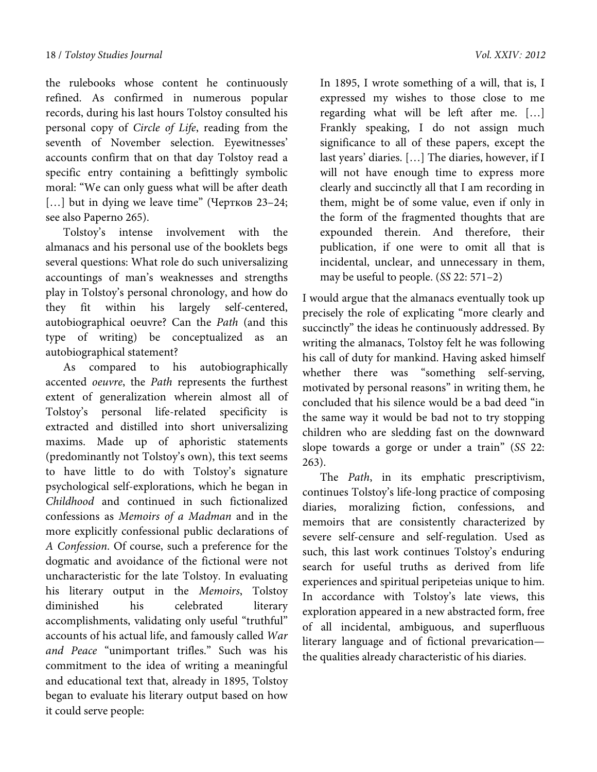the rulebooks whose content he continuously refined. As confirmed in numerous popular records, during his last hours Tolstoy consulted his personal copy of *Circle of Life*, reading from the seventh of November selection. Eyewitnesses' accounts confirm that on that day Tolstoy read a specific entry containing a befittingly symbolic moral: "We can only guess what will be after death [...] but in dying we leave time" (Чертков 23-24; see also Paperno 265).

Tolstoy's intense involvement with the almanacs and his personal use of the booklets begs several questions: What role do such universalizing accountings of man's weaknesses and strengths play in Tolstoy's personal chronology, and how do they fit within his largely self-centered, autobiographical oeuvre? Can the *Path* (and this type of writing) be conceptualized as an autobiographical statement?

As compared to his autobiographically accented *oeuvre*, the *Path* represents the furthest extent of generalization wherein almost all of Tolstoy's personal life-related specificity is extracted and distilled into short universalizing maxims. Made up of aphoristic statements (predominantly not Tolstoy's own), this text seems to have little to do with Tolstoy's signature psychological self-explorations, which he began in *Childhood* and continued in such fictionalized confessions as *Memoirs of a Madman* and in the more explicitly confessional public declarations of *A Confession*. Of course, such a preference for the dogmatic and avoidance of the fictional were not uncharacteristic for the late Tolstoy. In evaluating his literary output in the *Memoirs*, Tolstoy diminished his celebrated literary accomplishments, validating only useful "truthful" accounts of his actual life, and famously called *War and Peace* "unimportant trifles." Such was his commitment to the idea of writing a meaningful and educational text that, already in 1895, Tolstoy began to evaluate his literary output based on how it could serve people:

In 1895, I wrote something of a will, that is, I expressed my wishes to those close to me regarding what will be left after me. […] Frankly speaking, I do not assign much significance to all of these papers, except the last years' diaries. […] The diaries, however, if I will not have enough time to express more clearly and succinctly all that I am recording in them, might be of some value, even if only in the form of the fragmented thoughts that are expounded therein. And therefore, their publication, if one were to omit all that is incidental, unclear, and unnecessary in them, may be useful to people. (*SS* 22: 571–2)

I would argue that the almanacs eventually took up precisely the role of explicating "more clearly and succinctly" the ideas he continuously addressed. By writing the almanacs, Tolstoy felt he was following his call of duty for mankind. Having asked himself whether there was "something self-serving, motivated by personal reasons" in writing them, he concluded that his silence would be a bad deed "in the same way it would be bad not to try stopping children who are sledding fast on the downward slope towards a gorge or under a train" (*SS* 22: 263).

The *Path*, in its emphatic prescriptivism, continues Tolstoy's life-long practice of composing diaries, moralizing fiction, confessions, and memoirs that are consistently characterized by severe self-censure and self-regulation. Used as such, this last work continues Tolstoy's enduring search for useful truths as derived from life experiences and spiritual peripeteias unique to him. In accordance with Tolstoy's late views, this exploration appeared in a new abstracted form, free of all incidental, ambiguous, and superfluous literary language and of fictional prevarication the qualities already characteristic of his diaries.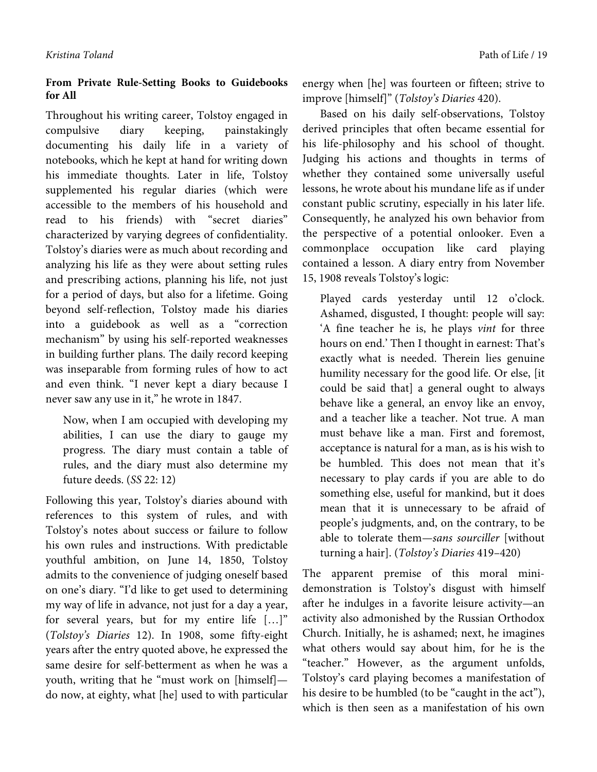## **From Private Rule-Setting Books to Guidebooks for All**

Throughout his writing career, Tolstoy engaged in compulsive diary keeping, painstakingly documenting his daily life in a variety of notebooks, which he kept at hand for writing down his immediate thoughts. Later in life, Tolstoy supplemented his regular diaries (which were accessible to the members of his household and read to his friends) with "secret diaries" characterized by varying degrees of confidentiality. Tolstoy's diaries were as much about recording and analyzing his life as they were about setting rules and prescribing actions, planning his life, not just for a period of days, but also for a lifetime. Going beyond self-reflection, Tolstoy made his diaries into a guidebook as well as a "correction mechanism" by using his self-reported weaknesses in building further plans. The daily record keeping was inseparable from forming rules of how to act and even think. "I never kept a diary because I never saw any use in it," he wrote in 1847.

Now, when I am occupied with developing my abilities, I can use the diary to gauge my progress. The diary must contain a table of rules, and the diary must also determine my future deeds. (*SS* 22: 12)

Following this year, Tolstoy's diaries abound with references to this system of rules, and with Tolstoy's notes about success or failure to follow his own rules and instructions. With predictable youthful ambition, on June 14, 1850, Tolstoy admits to the convenience of judging oneself based on one's diary. "I'd like to get used to determining my way of life in advance, not just for a day a year, for several years, but for my entire life […]" (*Tolstoy's Diaries* 12). In 1908, some fifty-eight years after the entry quoted above, he expressed the same desire for self-betterment as when he was a youth, writing that he "must work on [himself] do now, at eighty, what [he] used to with particular

energy when [he] was fourteen or fifteen; strive to improve [himself]" (*Tolstoy's Diaries* 420).

Based on his daily self-observations, Tolstoy derived principles that often became essential for his life-philosophy and his school of thought. Judging his actions and thoughts in terms of whether they contained some universally useful lessons, he wrote about his mundane life as if under constant public scrutiny, especially in his later life. Consequently, he analyzed his own behavior from the perspective of a potential onlooker. Even a commonplace occupation like card playing contained a lesson. A diary entry from November 15, 1908 reveals Tolstoy's logic:

Played cards yesterday until 12 o'clock. Ashamed, disgusted, I thought: people will say: 'A fine teacher he is, he plays *vint* for three hours on end.' Then I thought in earnest: That's exactly what is needed. Therein lies genuine humility necessary for the good life. Or else, [it could be said that] a general ought to always behave like a general, an envoy like an envoy, and a teacher like a teacher. Not true. A man must behave like a man. First and foremost, acceptance is natural for a man, as is his wish to be humbled. This does not mean that it's necessary to play cards if you are able to do something else, useful for mankind, but it does mean that it is unnecessary to be afraid of people's judgments, and, on the contrary, to be able to tolerate them—*sans sourciller* [without turning a hair]. (*Tolstoy's Diaries* 419–420)

The apparent premise of this moral minidemonstration is Tolstoy's disgust with himself after he indulges in a favorite leisure activity—an activity also admonished by the Russian Orthodox Church. Initially, he is ashamed; next, he imagines what others would say about him, for he is the "teacher." However, as the argument unfolds, Tolstoy's card playing becomes a manifestation of his desire to be humbled (to be "caught in the act"), which is then seen as a manifestation of his own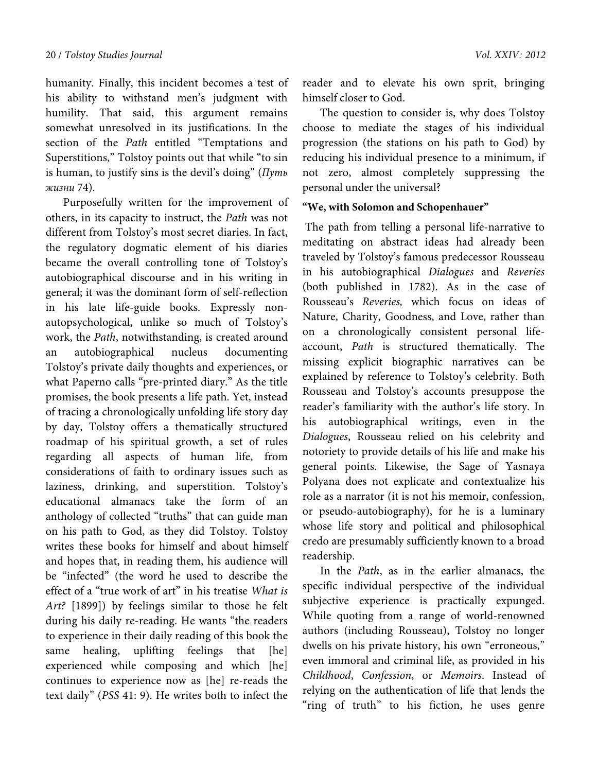humanity. Finally, this incident becomes a test of his ability to withstand men's judgment with humility. That said, this argument remains somewhat unresolved in its justifications. In the section of the *Path* entitled "Temptations and Superstitions," Tolstoy points out that while "to sin is human, to justify sins is the devil's doing" (*Путь жизни* 74).

Purposefully written for the improvement of others, in its capacity to instruct, the *Path* was not different from Tolstoy's most secret diaries. In fact, the regulatory dogmatic element of his diaries became the overall controlling tone of Tolstoy's autobiographical discourse and in his writing in general; it was the dominant form of self-reflection in his late life-guide books. Expressly nonautopsychological, unlike so much of Tolstoy's work, the *Path*, notwithstanding, is created around an autobiographical nucleus documenting Tolstoy's private daily thoughts and experiences, or what Paperno calls "pre-printed diary." As the title promises, the book presents a life path. Yet, instead of tracing a chronologically unfolding life story day by day, Tolstoy offers a thematically structured roadmap of his spiritual growth, a set of rules regarding all aspects of human life, from considerations of faith to ordinary issues such as laziness, drinking, and superstition. Tolstoy's educational almanacs take the form of an anthology of collected "truths" that can guide man on his path to God, as they did Tolstoy. Tolstoy writes these books for himself and about himself and hopes that, in reading them, his audience will be "infected" (the word he used to describe the effect of a "true work of art" in his treatise *What is Art?* [1899]) by feelings similar to those he felt during his daily re-reading. He wants "the readers to experience in their daily reading of this book the<br>same healing, uplifting feelings that [he] uplifting feelings that [he] experienced while composing and which [he] continues to experience now as [he] re-reads the text daily" (*PSS* 41: 9). He writes both to infect the

reader and to elevate his own sprit, bringing himself closer to God.

The question to consider is, why does Tolstoy choose to mediate the stages of his individual progression (the stations on his path to God) by reducing his individual presence to a minimum, if not zero, almost completely suppressing the personal under the universal?

### **"We, with Solomon and Schopenhauer"**

 The path from telling a personal life-narrative to meditating on abstract ideas had already been traveled by Tolstoy's famous predecessor Rousseau in his autobiographical *Dialogues* and *Reveries*  (both published in 1782). As in the case of Rousseau's *Reveries,* which focus on ideas of Nature, Charity, Goodness, and Love, rather than on a chronologically consistent personal lifeaccount, *Path* is structured thematically. The missing explicit biographic narratives can be explained by reference to Tolstoy's celebrity. Both Rousseau and Tolstoy's accounts presuppose the reader's familiarity with the author's life story. In his autobiographical writings, even in the *Dialogues*, Rousseau relied on his celebrity and notoriety to provide details of his life and make his general points. Likewise, the Sage of Yasnaya Polyana does not explicate and contextualize his role as a narrator (it is not his memoir, confession, or pseudo-autobiography), for he is a luminary whose life story and political and philosophical credo are presumably sufficiently known to a broad readership.

In the *Path*, as in the earlier almanacs, the specific individual perspective of the individual subjective experience is practically expunged. While quoting from a range of world-renowned authors (including Rousseau), Tolstoy no longer dwells on his private history, his own "erroneous," even immoral and criminal life, as provided in his *Childhood*, *Confession*, or *Memoirs*. Instead of relying on the authentication of life that lends the "ring of truth" to his fiction, he uses genre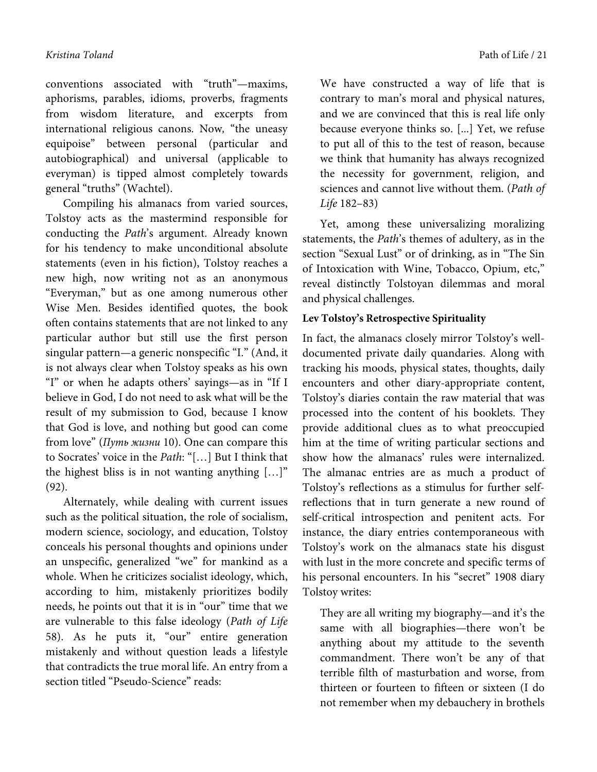conventions associated with "truth"—maxims, aphorisms, parables, idioms, proverbs, fragments from wisdom literature, and excerpts from international religious canons. Now*,* "the uneasy equipoise" between personal (particular and autobiographical) and universal (applicable to everyman) is tipped almost completely towards general "truths" (Wachtel).

Compiling his almanacs from varied sources, Tolstoy acts as the mastermind responsible for conducting the *Path*'s argument. Already known for his tendency to make unconditional absolute statements (even in his fiction), Tolstoy reaches a new high, now writing not as an anonymous "Everyman," but as one among numerous other Wise Men. Besides identified quotes, the book often contains statements that are not linked to any particular author but still use the first person singular pattern—a generic nonspecific "I." (And, it is not always clear when Tolstoy speaks as his own "I" or when he adapts others' sayings—as in "If I believe in God, I do not need to ask what will be the result of my submission to God, because I know that God is love, and nothing but good can come from love" (*Путь жизни* 10). One can compare this to Socrates' voice in the *Path*: "[…] But I think that the highest bliss is in not wanting anything […]" (92).

Alternately, while dealing with current issues such as the political situation, the role of socialism, modern science, sociology, and education, Tolstoy conceals his personal thoughts and opinions under an unspecific, generalized "we" for mankind as a whole. When he criticizes socialist ideology, which, according to him, mistakenly prioritizes bodily needs, he points out that it is in "our" time that we are vulnerable to this false ideology (*Path of Life* 58). As he puts it, "our" entire generation mistakenly and without question leads a lifestyle that contradicts the true moral life. An entry from a section titled "Pseudo-Science" reads:

We have constructed a way of life that is contrary to man's moral and physical natures, and we are convinced that this is real life only because everyone thinks so. [...] Yet, we refuse to put all of this to the test of reason, because we think that humanity has always recognized the necessity for government, religion, and sciences and cannot live without them. (*Path of Life* 182–83)

Yet, among these universalizing moralizing statements, the *Path*'s themes of adultery, as in the section "Sexual Lust" or of drinking, as in "The Sin of Intoxication with Wine, Tobacco, Opium, etc," reveal distinctly Tolstoyan dilemmas and moral and physical challenges.

### **Lev Tolstoy's Retrospective Spirituality**

In fact, the almanacs closely mirror Tolstoy's welldocumented private daily quandaries. Along with tracking his moods, physical states, thoughts, daily encounters and other diary-appropriate content, Tolstoy's diaries contain the raw material that was processed into the content of his booklets. They provide additional clues as to what preoccupied him at the time of writing particular sections and show how the almanacs' rules were internalized. The almanac entries are as much a product of Tolstoy's reflections as a stimulus for further selfreflections that in turn generate a new round of self-critical introspection and penitent acts. For instance, the diary entries contemporaneous with Tolstoy's work on the almanacs state his disgust with lust in the more concrete and specific terms of his personal encounters. In his "secret" 1908 diary Tolstoy writes:

They are all writing my biography—and it's the same with all biographies—there won't be anything about my attitude to the seventh commandment. There won't be any of that terrible filth of masturbation and worse, from thirteen or fourteen to fifteen or sixteen (I do not remember when my debauchery in brothels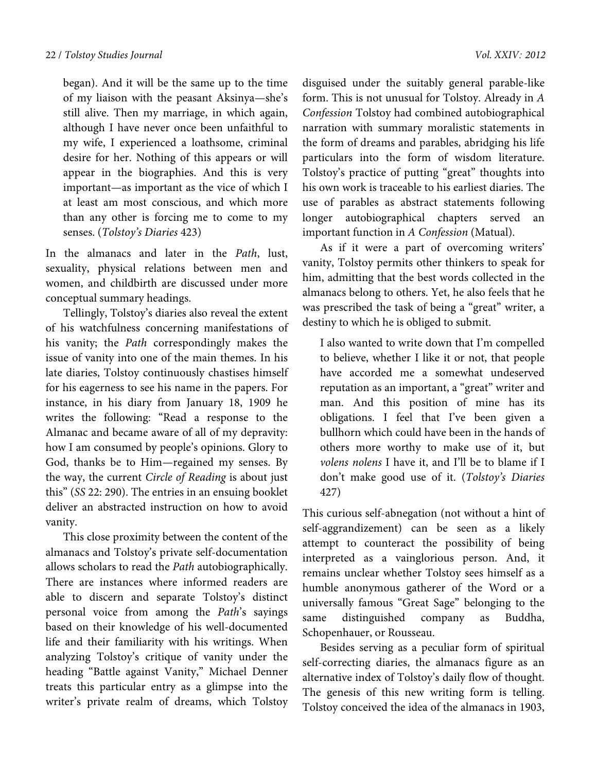began). And it will be the same up to the time of my liaison with the peasant Aksinya—she's still alive. Then my marriage, in which again, although I have never once been unfaithful to my wife, I experienced a loathsome, criminal desire for her. Nothing of this appears or will appear in the biographies. And this is very important—as important as the vice of which I at least am most conscious, and which more than any other is forcing me to come to my senses. (*Tolstoy's Diaries* 423)

In the almanacs and later in the *Path*, lust, sexuality, physical relations between men and women, and childbirth are discussed under more conceptual summary headings.

Tellingly, Tolstoy's diaries also reveal the extent of his watchfulness concerning manifestations of his vanity; the *Path* correspondingly makes the issue of vanity into one of the main themes. In his late diaries, Tolstoy continuously chastises himself for his eagerness to see his name in the papers. For instance, in his diary from January 18, 1909 he writes the following: "Read a response to the Almanac and became aware of all of my depravity: how I am consumed by people's opinions. Glory to God, thanks be to Him—regained my senses. By the way, the current *Circle of Reading* is about just this" (*SS* 22: 290). The entries in an ensuing booklet deliver an abstracted instruction on how to avoid vanity.

This close proximity between the content of the almanacs and Tolstoy's private self-documentation allows scholars to read the *Path* autobiographically. There are instances where informed readers are able to discern and separate Tolstoy's distinct personal voice from among the *Path*'s sayings based on their knowledge of his well-documented life and their familiarity with his writings. When analyzing Tolstoy's critique of vanity under the heading "Battle against Vanity," Michael Denner treats this particular entry as a glimpse into the writer's private realm of dreams, which Tolstoy

disguised under the suitably general parable-like form. This is not unusual for Tolstoy. Already in *A Confession* Tolstoy had combined autobiographical narration with summary moralistic statements in the form of dreams and parables, abridging his life particulars into the form of wisdom literature. Tolstoy's practice of putting "great" thoughts into his own work is traceable to his earliest diaries. The use of parables as abstract statements following longer autobiographical chapters served an important function in *A Confession* (Matual).

As if it were a part of overcoming writers' vanity, Tolstoy permits other thinkers to speak for him, admitting that the best words collected in the almanacs belong to others. Yet, he also feels that he was prescribed the task of being a "great" writer, a destiny to which he is obliged to submit.

I also wanted to write down that I'm compelled to believe, whether I like it or not, that people have accorded me a somewhat undeserved reputation as an important, a "great" writer and man. And this position of mine has its obligations. I feel that I've been given a bullhorn which could have been in the hands of others more worthy to make use of it, but *volens nolens* I have it, and I'll be to blame if I don't make good use of it. (*Tolstoy's Diaries* 427)

This curious self-abnegation (not without a hint of self-aggrandizement) can be seen as a likely attempt to counteract the possibility of being interpreted as a vainglorious person. And, it remains unclear whether Tolstoy sees himself as a humble anonymous gatherer of the Word or a universally famous "Great Sage" belonging to the same distinguished company as Buddha, Schopenhauer, or Rousseau.

Besides serving as a peculiar form of spiritual self-correcting diaries, the almanacs figure as an alternative index of Tolstoy's daily flow of thought. The genesis of this new writing form is telling. Tolstoy conceived the idea of the almanacs in 1903,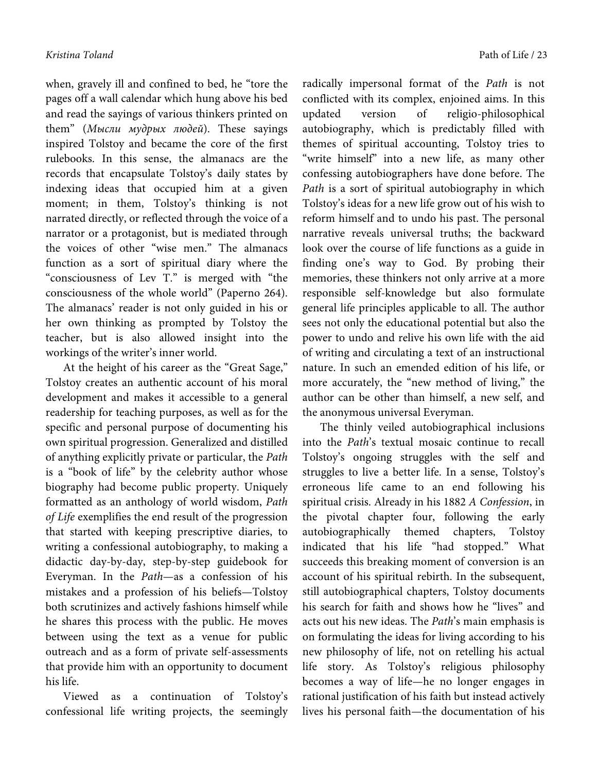when, gravely ill and confined to bed, he "tore the pages off a wall calendar which hung above his bed and read the sayings of various thinkers printed on them" (*Мысли мудрых людей*). These sayings inspired Tolstoy and became the core of the first rulebooks. In this sense, the almanacs are the records that encapsulate Tolstoy's daily states by indexing ideas that occupied him at a given moment; in them, Tolstoy's thinking is not narrated directly, or reflected through the voice of a narrator or a protagonist, but is mediated through the voices of other "wise men." The almanacs function as a sort of spiritual diary where the "consciousness of Lev T." is merged with "the consciousness of the whole world" (Paperno 264). The almanacs' reader is not only guided in his or her own thinking as prompted by Tolstoy the teacher, but is also allowed insight into the workings of the writer's inner world.

At the height of his career as the "Great Sage," Tolstoy creates an authentic account of his moral development and makes it accessible to a general readership for teaching purposes, as well as for the specific and personal purpose of documenting his own spiritual progression. Generalized and distilled of anything explicitly private or particular, the *Path* is a "book of life" by the celebrity author whose biography had become public property. Uniquely formatted as an anthology of world wisdom, *Path of Life* exemplifies the end result of the progression that started with keeping prescriptive diaries, to writing a confessional autobiography, to making a didactic day-by-day, step-by-step guidebook for Everyman. In the *Path*—as a confession of his mistakes and a profession of his beliefs—Tolstoy both scrutinizes and actively fashions himself while he shares this process with the public. He moves between using the text as a venue for public outreach and as a form of private self-assessments that provide him with an opportunity to document his life.

Viewed as a continuation of Tolstoy's confessional life writing projects, the seemingly

radically impersonal format of the *Path* is not conflicted with its complex, enjoined aims. In this updated version of religio-philosophical autobiography, which is predictably filled with themes of spiritual accounting, Tolstoy tries to "write himself" into a new life, as many other confessing autobiographers have done before. The *Path* is a sort of spiritual autobiography in which Tolstoy's ideas for a new life grow out of his wish to reform himself and to undo his past. The personal narrative reveals universal truths; the backward look over the course of life functions as a guide in finding one's way to God. By probing their memories, these thinkers not only arrive at a more responsible self-knowledge but also formulate general life principles applicable to all. The author sees not only the educational potential but also the power to undo and relive his own life with the aid of writing and circulating a text of an instructional nature. In such an emended edition of his life, or more accurately, the "new method of living," the author can be other than himself, a new self, and the anonymous universal Everyman.

The thinly veiled autobiographical inclusions into the *Path*'s textual mosaic continue to recall Tolstoy's ongoing struggles with the self and struggles to live a better life. In a sense, Tolstoy's erroneous life came to an end following his spiritual crisis. Already in his 1882 *A Confession*, in the pivotal chapter four, following the early autobiographically themed chapters, Tolstoy indicated that his life "had stopped." What succeeds this breaking moment of conversion is an account of his spiritual rebirth. In the subsequent, still autobiographical chapters, Tolstoy documents his search for faith and shows how he "lives" and acts out his new ideas. The *Path*'s main emphasis is on formulating the ideas for living according to his new philosophy of life, not on retelling his actual life story. As Tolstoy's religious philosophy becomes a way of life—he no longer engages in rational justification of his faith but instead actively lives his personal faith—the documentation of his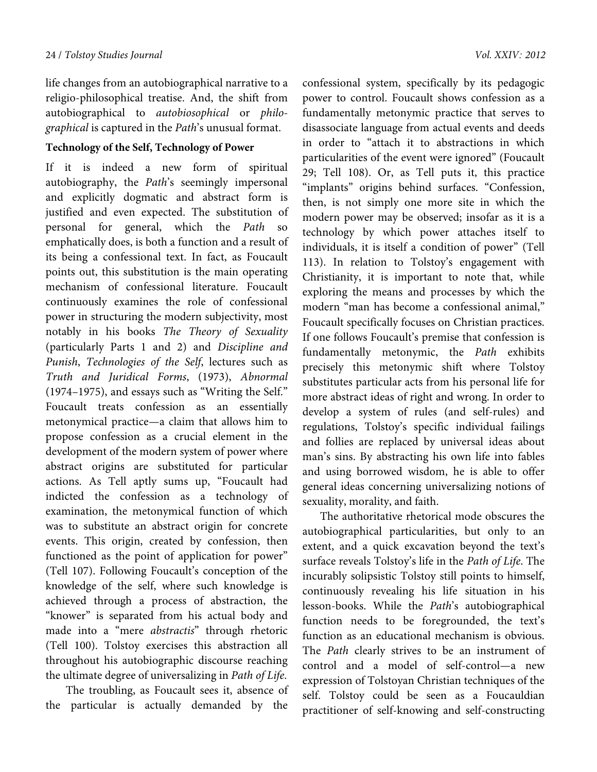life changes from an autobiographical narrative to a religio-philosophical treatise. And, the shift from autobiographical to *autobiosophical* or *philographical* is captured in the *Path*'s unusual format.

## **Technology of the Self, Technology of Power**

If it is indeed a new form of spiritual autobiography, the *Path*'s seemingly impersonal and explicitly dogmatic and abstract form is justified and even expected. The substitution of personal for general, which the *Path* so emphatically does, is both a function and a result of its being a confessional text. In fact, as Foucault points out, this substitution is the main operating mechanism of confessional literature. Foucault continuously examines the role of confessional power in structuring the modern subjectivity, most notably in his books *The Theory of Sexuality* (particularly Parts 1 and 2) and *Discipline and Punish*, *Technologies of the Self*, lectures such as *Truth and Juridical Forms*, (1973), *Abnormal*  (1974–1975), and essays such as "Writing the Self." Foucault treats confession as an essentially metonymical practice—a claim that allows him to propose confession as a crucial element in the development of the modern system of power where abstract origins are substituted for particular actions. As Tell aptly sums up, "Foucault had indicted the confession as a technology of examination, the metonymical function of which was to substitute an abstract origin for concrete events. This origin, created by confession, then functioned as the point of application for power" (Tell 107). Following Foucault's conception of the knowledge of the self, where such knowledge is achieved through a process of abstraction, the "knower" is separated from his actual body and made into a "mere *abstractis*" through rhetoric (Tell 100). Tolstoy exercises this abstraction all throughout his autobiographic discourse reaching the ultimate degree of universalizing in *Path of Life*.

 The troubling, as Foucault sees it, absence of the particular is actually demanded by the confessional system, specifically by its pedagogic power to control. Foucault shows confession as a fundamentally metonymic practice that serves to disassociate language from actual events and deeds in order to "attach it to abstractions in which particularities of the event were ignored" (Foucault 29; Tell 108). Or, as Tell puts it, this practice "implants" origins behind surfaces. "Confession, then, is not simply one more site in which the modern power may be observed; insofar as it is a technology by which power attaches itself to individuals, it is itself a condition of power" (Tell 113). In relation to Tolstoy's engagement with Christianity, it is important to note that, while exploring the means and processes by which the modern "man has become a confessional animal," Foucault specifically focuses on Christian practices. If one follows Foucault's premise that confession is fundamentally metonymic, the *Path* exhibits precisely this metonymic shift where Tolstoy substitutes particular acts from his personal life for more abstract ideas of right and wrong. In order to develop a system of rules (and self-rules) and regulations, Tolstoy's specific individual failings and follies are replaced by universal ideas about man's sins. By abstracting his own life into fables and using borrowed wisdom, he is able to offer general ideas concerning universalizing notions of sexuality, morality, and faith.

The authoritative rhetorical mode obscures the autobiographical particularities, but only to an extent, and a quick excavation beyond the text's surface reveals Tolstoy's life in the *Path of Life*. The incurably solipsistic Tolstoy still points to himself, continuously revealing his life situation in his lesson-books. While the *Path*'s autobiographical function needs to be foregrounded, the text's function as an educational mechanism is obvious. The *Path* clearly strives to be an instrument of control and a model of self-control—a new expression of Tolstoyan Christian techniques of the self. Tolstoy could be seen as a Foucauldian practitioner of self-knowing and self-constructing